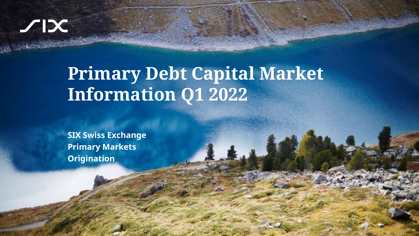# $\chi$

Sensitivity: C1 Public C1

# **Primary Debt Capital Market Information Q1 2022**

**SIX Swiss Exchange Primary Markets Origination**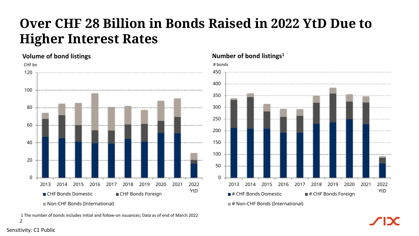## **Over CHF 28 Billion in Bonds Raised in 2022 YtD Due to Higher Interest Rates**

### $\Omega$ 20 40 60 80 100 120 2013 2014 2015 2016 2017 2018 2019 2020 2021 2022 ■ CHF Bonds Domestic ■ CHF Bonds Foreign THE BONDS FOREIGN Non-CHF Bonds (International) CHF bn # bonds # bonds # bonds # bonds # bonds # bonds # bonds # bonds # bonds # bonds # bonds # bonds # bonds **Number of bond listings<sup>1</sup> Volume of bond listings**

 $\overline{\phantom{0}}$ 1 The number of bonds includes initial and follow-on issuances; Data as of end of March 2022

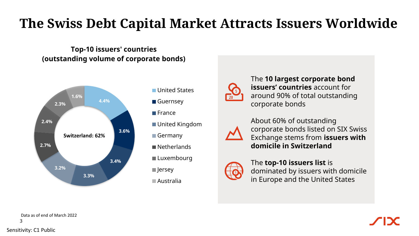## **The Swiss Debt Capital Market Attracts Issuers Worldwide**

### **Top-10 issuers' countries (outstanding volume of corporate bonds)**



- United States
- Guernsey
- **E**France
- United Kingdom
- Germany
- Netherlands
- ■Luxembourg
- $\blacksquare$  Jersey
- Australia



The **10 largest corporate bond issuers' countries** account for around 90% of total outstanding corporate bonds



About 60% of outstanding corporate bonds listed on SIX Swiss Exchange stems from **issuers with domicile in Switzerland**



The **top-10 issuers list** is dominated by issuers with domicile in Europe and the United States

3 Data as of end of March 2022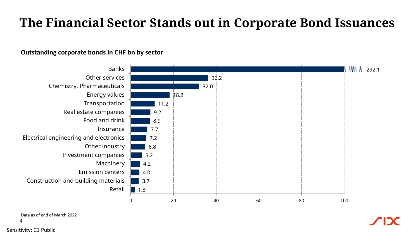### **The Financial Sector Stands out in Corporate Bond Issuances**

### **Outstanding corporate bonds in CHF bn by sector**

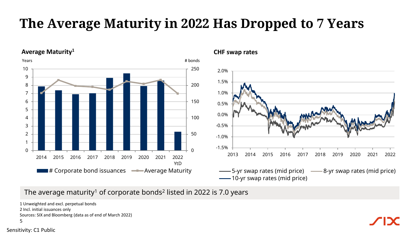## **The Average Maturity in 2022 Has Dropped to 7 Years**

**Average Maturity<sup>1</sup> CHF swap rates**





The average maturity $^{\rm 1}$  of corporate bonds $^{\rm 2}$  listed in 2022 is 7.0 years

```
5
1 Unweighted and excl. perpetual bonds
2 Incl. initial issuances only
Sources: SIX and Bloomberg (data as of end of March 2022)
```
Sensitivity: C1 Public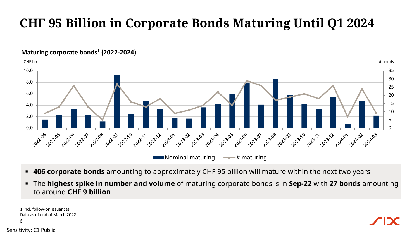## **CHF 95 Billion in Corporate Bonds Maturing Until Q1 2024**

### CHF bn # bonds 10.0 35 30 8.0 25 6.0  $20$ 15 4.0 10 2.0 5 0.0 0 **01 - 20202** 03 20204 **14** 2023 25 **2023-07** 2021-04 10 2211 1-1-202-12 12 2301 02 - 2023 - 25 35 2012 01 23.08 28.299 1992-10 10 2311 11-1023-12 **100Aug2** 1022.05 02206 02207 2022-88 22.09 22:10 12 avr 20 2024-03 Nominal maturing  $\longrightarrow$  # maturing

- **.406 corporate bonds** amounting to approximately CHF 95 billion will mature within the next two years
- The **highest spike in number and volume** of maturing corporate bonds is in **Sep-22** with **27 bonds** amounting to around **CHF 9 billion**

Sensitivity: C1 Public 6 1 Incl. follow-on issuances Data as of end of March 2022

**Maturing corporate bonds<sup>1</sup> (2022-2024)**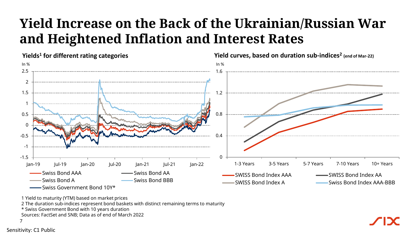## **Yield Increase on the Back of the Ukrainian/Russian War and Heightened Inflation and Interest Rates**



1 Yield to maturity (YTM) based on market prices

2 The duration sub-indices represent bond baskets with distinct remaining terms to maturity

\* Swiss Government Bond with 10 years duration

Sources: FactSet and SNB; Data as of end of March 2022

7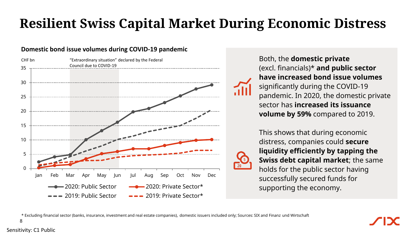## **Resilient Swiss Capital Market During Economic Distress**

### **Domestic bond issue volumes during COVID-19 pandemic**



Both, the **domestic private** (excl. financials)\* **and public sector have increased bond issue volumes**  significantly during the COVID-19 pandemic. In 2020, the domestic private sector has **increased its issuance volume by 59%** compared to 2019.

This shows that during economic distress, companies could **secure liquidity efficiently by tapping the Swiss debt capital market**; the same holds for the public sector having successfully secured funds for supporting the economy.

\* Excluding financial sector (banks, insurance, investment and real estate companies), domestic issuers included only; Sources: SIX and Finanz und Wirtschaft

8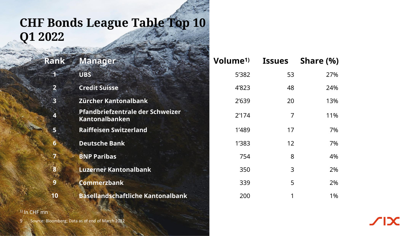### **CHF Bonds League Table Top 10 Q1 2022**

|    | Rank Manager                                       | Volume <sup>1)</sup> | <b>Issues</b> | Share (%) |
|----|----------------------------------------------------|----------------------|---------------|-----------|
|    | <b>UBS</b>                                         | 5'382                | 53            | 27%       |
|    | <b>Credit Suisse</b>                               | 4'823                | 48            | 24%       |
| 3  | Zürcher Kantonalbank                               | 2'639                | 20            | 13%       |
|    | Pfandbriefzentrale der Schweizer<br>Kantonalbanken | 2'174                | 7             | 11%       |
| 5  | <b>Raiffeisen Switzerland</b>                      | 1'489                | 17            | 7%        |
|    | <b>Deutsche Bank</b>                               | 1'383                | 12            | 7%        |
| 7. | <b>BNP Paribas</b>                                 | 754                  | 8             | 4%        |
|    | <b>Luzerner Kantonalbank</b>                       | 350                  | 3             | 2%        |
| 9  | <b>Commerzbank</b>                                 | 339                  | 5             | 2%        |
| 10 | <b>Basellandschaftliche Kantonalbank</b>           | 200                  |               | 1%        |

### 1) In CHF mn

Sensitivity: Charles Charles

9 Source: Bloomberg; Data as of end of March 2022

 $\sqrt{|\mathbf{X}|}$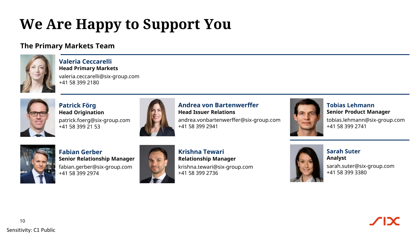# **We Are Happy to Support You**

### **The Primary Markets Team**



**Valeria Ceccarelli Head Primary Markets**

valeria.ceccarelli@six-group.com +41 58 399 2180



**Patrick Förg Head Origination** patrick.foerg@six-group.com +41 58 399 21 53



### **Andrea von Bartenwerffer Head Issuer Relations**

andrea.vonbartenwerffer@six-group.com +41 58 399 2941



**Tobias Lehmann Senior Product Manager**

tobias.lehmann@six-group.com +41 58 399 2741



**Fabian Gerber Senior Relationship Manager** fabian.gerber@six-group.com +41 58 399 2974



**Krishna Tewari Relationship Manager** krishna.tewari@six-group.com +41 58 399 2736



**Sarah Suter Analyst** sarah.suter@six-group.com +41 58 399 3380